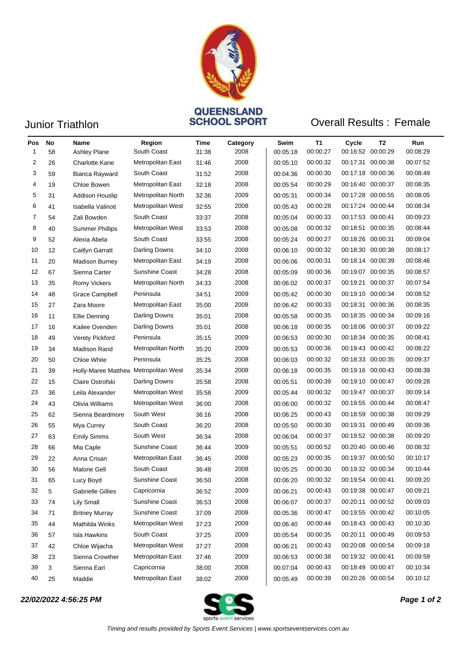

# Junior Triathlon **CONSTRAING CONSTRAINS SCHOOL SPORT**

### **Overall Results: Female**

| Pos<br>1 | No<br>58 | Name<br>Ashley Plane                  | Region<br>South Coast | Time<br>31:38 | Category<br>2008 | Swim<br>00:05:18 | T1<br>00:00:27 | Cycle<br>00:16:52 00:00:29 | T2       | Run<br>00:08:29 |
|----------|----------|---------------------------------------|-----------------------|---------------|------------------|------------------|----------------|----------------------------|----------|-----------------|
| 2        | 26       | Charlotte Kane                        | Metropolitan East     | 31:46         | 2008             | 00:05:10         | 00:00:32       | 00:17:31 00:00:38          |          | 00:07:52        |
| 3        | 59       | Bianca Rayward                        | South Coast           | 31:52         | 2008             | 00:04:36         | 00:00:30       | 00:17:18                   | 00:00:36 | 00:08:49        |
| 4        | 19       | Chloe Bowen                           | Metropolitan East     | 32:18         | 2008             | 00:05:54         | 00:00:29       | 00:16:40                   | 00:00:37 | 00:08:35        |
| 5        | 31       | <b>Addison Houslip</b>                | Metropolitan North    | 32:36         | 2009             | 00:05:31         | 00:00:34       | 00:17:28                   | 00:00:55 | 00:08:05        |
| 6        | 41       | Isabella Valinoti                     | Metropolitan West     | 32:55         | 2008             | 00:05:43         | 00:00:28       | 00:17:24 00:00:44          |          | 00:08:34        |
| 7        | 54       | Zali Bowden                           | South Coast           | 33:37         | 2008             | 00:05:04         | 00:00:33       | 00:17:53 00:00:41          |          | 00:09:23        |
| 8        | 40       | <b>Summer Phillips</b>                | Metropolitan West     | 33:53         | 2008             | 00:05:08         | 00:00:32       | 00:18:51                   | 00:00:35 | 00:08:44        |
| 9        | 52       | Alexia Abela                          | South Coast           | 33:55         | 2008             | 00:05:24         | 00:00:27       | 00:18:26                   | 00:00:31 | 00:09:04        |
| 10       | 12       | Caitlyn Garratt                       | Darling Downs         | 34:10         | 2008             | 00:06:10         | 00:00:32       | 00:18:30 00:00:38          |          | 00:08:17        |
| 11       | 20       | <b>Madison Burney</b>                 | Metropolitan East     | 34:19         | 2008             | 00:06:06         | 00:00:31       | 00:18:14 00:00:39          |          | 00:08:46        |
| 12       | 67       | Sienna Carter                         | Sunshine Coast        | 34:28         | 2008             | 00:05:09         | 00:00:36       | 00:19:07 00:00:35          |          | 00:08:57        |
| 13       | 35       | <b>Romy Vickers</b>                   | Metropolitan North    | 34:33         | 2008             | 00:06:02         | 00:00:37       | 00:19:21                   | 00:00:37 | 00:07:54        |
| 14       | 48       | Grace Campbell                        | Peninsula             | 34:51         | 2009             | 00:05:42         | 00:00:30       | 00:19:10 00:00:34          |          | 00:08:52        |
| 15       | 27       | Zara Moore                            | Metropolitan East     | 35:00         | 2008             | 00:06:42         | 00:00:33       | 00:18:31 00:00:36          |          | 00:08:35        |
| 16       | 11       | Ellie Denning                         | Darling Downs         | 35:01         | 2008             | 00:05:58         | 00:00:35       | 00:18:35                   | 00:00:34 | 00:09:16        |
| 17       | 16       | Kailee Ovenden                        | Darling Downs         | 35:01         | 2008             | 00:06:18         | 00:00:35       | 00:18:06 00:00:37          |          | 00:09:22        |
| 18       | 49       | Verety Pickford                       | Peninsula             | 35:15         | 2009             | 00:06:53         | 00:00:30       | 00:18:34 00:00:35          |          | 00:08:41        |
| 19       | 34       | Madison Rand                          | Metropolitan North    | 35:20         | 2009             | 00:05:53         | 00:00:36       | 00:19:43 00:00:42          |          | 00:08:22        |
| 20       | 50       | <b>Chloe White</b>                    | Peninsula             | 35:25         | 2008             | 00:06:03         | 00:00:32       | 00:18:33 00:00:35          |          | 00:09:37        |
| 21       | 39       | Holly-Maree Matthew Metropolitan West |                       | 35:34         | 2008             | 00:06:18         | 00:00:35       | 00:19:16 00:00:43          |          | 00:08:39        |
| 22       | 15       | Claire Ostrofski                      | Darling Downs         | 35:58         | 2008             | 00:05:51         | 00:00:39       | 00:19:10 00:00:47          |          | 00:09:28        |
| 23       | 36       | Leila Alexander                       | Metropolitan West     | 35:58         | 2009             | 00:05:44         | 00:00:32       | 00:19:47 00:00:37          |          | 00:09:14        |
| 24       | 43       | Olivia Williams                       | Metropolitan West     | 36:00         | 2008             | 00:06:00         | 00:00:32       | 00:19:55 00:00:44          |          | 00:08:47        |
| 25       | 62       | Sienna Beardmore                      | South West            | 36:16         | 2008             | 00:06:25         | 00:00:43       | 00:18:59                   | 00:00:38 | 00:09:29        |
| 26       | 55       | Mya Currey                            | South Coast           | 36:20         | 2008             | 00:05:50         | 00:00:30       | 00:19:31                   | 00:00:49 | 00:09:36        |
| 27       | 63       | <b>Emily Simms</b>                    | South West            | 36:34         | 2008             | 00:06:04         | 00:00:37       | 00:19:52 00:00:38          |          | 00:09:20        |
| 28       | 66       | Mia Caple                             | <b>Sunshine Coast</b> | 36:44         | 2009             | 00:05:51         | 00:00:52       | 00:20:40 00:00:46          |          | 00:08:32        |
| 29       | 22       | Anna Crisan                           | Metropolitan East     | 36:45         | 2008             | 00:05:23         | 00:00:35       | 00:19:37 00:00:50          |          | 00:10:17        |
| 30       | 56       | <b>Malorie Gell</b>                   | South Coast           | 36:48         | 2008             | 00:05:25         | 00:00:30       | 00:19:32 00:00:34          |          | 00:10:44        |
| 31       | 65       | Lucy Boyd                             | Sunshine Coast        | 36:50         | 2008             | 00:06:20         | 00:00:32       | 00:19:54 00:00:41          |          | 00:09:20        |
| 32       | 5        | <b>Gabrielle Gillies</b>              | Capricornia           | 36:52         | 2009             | 00:06:21         | 00:00:43       | 00:19:38 00:00:47          |          | 00:09:21        |
| 33       | 74       | Lily Small                            | Sunshine Coast        | 36:53         | 2008             | 00:06:07         | 00:00:37       | 00:20:11                   | 00:00:52 | 00:09:03        |
| 34       | 71       | <b>Britney Murray</b>                 | Sunshine Coast        | 37:09         | 2008             | 00:05:36         | 00:00:47       | 00:19:55 00:00:42          |          | 00:10:05        |
| 35       | 44       | Mathilda Winks                        | Metropolitan West     | 37:23         | 2009             | 00:06:40         | 00:00:44       | 00:18:43 00:00:43          |          | 00:10:30        |
| 36       | 57       | <b>Isla Hawkins</b>                   | South Coast           | 37:25         | 2009             | 00:05:54         | 00:00:35       | 00:20:11 00:00:49          |          | 00:09:53        |
| 37       | 42       | Chloe Wijacha                         | Metropolitan West     | 37:27         | 2008             | 00:06:21         | 00:00:43       | 00:20:08 00:00:54          |          | 00:09:18        |
| 38       | 23       | Sienna Crowther                       | Metropolitan East     | 37:46         | 2009             | 00:06:53         | 00:00:38       | 00:19:32 00:00:41          |          | 00:09:59        |
| 39       | 3        | Sienna Earl                           | Capricornia           | 38:00         | 2008             | 00:07:04         | 00:00:43       | 00:18:49 00:00:47          |          | 00:10:34        |
| 40       | 25       | Maddie                                | Metropolitan East     | 38:02         | 2008             | 00:05:49         | 00:00:39       | 00:20:26 00:00:54          |          | 00:10:12        |

*22/02/2022 4:56:25 PM Page 1 of 2*

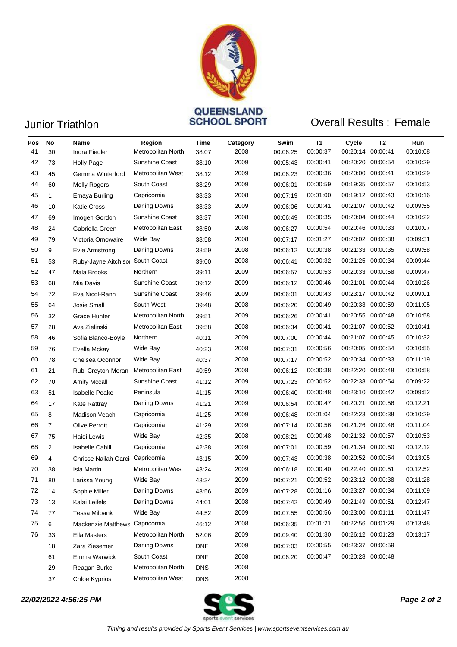

# Junior Triathlon **CONSTRAING CONSTRAINER SCHOOL SPORT**

### **Overall Results: Female**

| Pos<br>41 | No<br>30       | Name<br>Indra Fiedler             | Region<br>Metropolitan North | Time<br>38:07 | Category<br>2008 | Swim<br>00:06:25 | Т1<br>00:00:37 | Cycle<br>00:20:14 | T2<br>00:00:41 | Run<br>00:10:08 |
|-----------|----------------|-----------------------------------|------------------------------|---------------|------------------|------------------|----------------|-------------------|----------------|-----------------|
| 42        | 73             | <b>Holly Page</b>                 | <b>Sunshine Coast</b>        | 38:10         | 2009             | 00:05:43         | 00:00:41       | 00:20:20 00:00:54 |                | 00:10:29        |
| 43        | 45             | Gemma Winterford                  | Metropolitan West            | 38:12         | 2009             | 00:06:23         | 00:00:36       | 00:20:00 00:00:41 |                | 00:10:29        |
| 44        | 60             | <b>Molly Rogers</b>               | South Coast                  | 38:29         | 2009             | 00:06:01         | 00:00:59       | 00:19:35 00:00:57 |                | 00:10:53        |
| 45        | $\mathbf{1}$   | Emaya Burling                     | Capricornia                  | 38:33         | 2008             | 00:07:19         | 00:01:00       | 00:19:12 00:00:43 |                | 00:10:16        |
| 46        | 10             | <b>Katie Cross</b>                | Darling Downs                | 38:33         | 2009             | 00:06:06         | 00:00:41       | 00:21:07 00:00:42 |                | 00:09:55        |
| 47        | 69             | Imogen Gordon                     | Sunshine Coast               | 38:37         | 2008             | 00:06:49         | 00:00:35       | 00:20:04          | 00:00:44       | 00:10:22        |
| 48        | 24             | Gabriella Green                   | Metropolitan East            | 38:50         | 2008             | 00:06:27         | 00:00:54       | 00:20:46 00:00:33 |                | 00:10:07        |
| 49        | 79             | Victoria Omowaire                 | Wide Bay                     | 38:58         | 2008             | 00:07:17         | 00:01:27       | 00:20:02 00:00:38 |                | 00:09:31        |
| 50        | 9              | Evie Armstrong                    | Darling Downs                | 38:59         | 2008             | 00:06:12         | 00:00:38       | 00:21:33 00:00:35 |                | 00:09:58        |
| 51        | 53             | Ruby-Jayne Aitchisor South Coast  |                              | 39:00         | 2008             | 00:06:41         | 00:00:32       | 00:21:25          | 00:00:34       | 00:09:44        |
| 52        | 47             | Mala Brooks                       | Northern                     | 39:11         | 2009             | 00:06:57         | 00:00:53       | 00:20:33          | 00:00:58       | 00:09:47        |
| 53        | 68             | Mia Davis                         | Sunshine Coast               | 39:12         | 2009             | 00:06:12         | 00:00:46       | 00:21:01          | 00:00:44       | 00:10:26        |
| 54        | 72             | Eva Nicol-Rann                    | <b>Sunshine Coast</b>        | 39:46         | 2009             | 00:06:01         | 00:00:43       | 00:23:17          | 00:00:42       | 00:09:01        |
| 55        | 64             | Josie Small                       | South West                   | 39:48         | 2008             | 00:06:20         | 00:00:49       | 00:20:33 00:00:59 |                | 00:11:05        |
| 56        | 32             | Grace Hunter                      | Metropolitan North           | 39:51         | 2009             | 00:06:26         | 00:00:41       | 00:20:55          | 00:00:48       | 00:10:58        |
| 57        | 28             | Ava Zielinski                     | Metropolitan East            | 39.58         | 2008             | 00:06:34         | 00:00:41       | 00:21:07          | 00:00:52       | 00:10:41        |
| 58        | 46             | Sofia Blanco-Boyle                | Northern                     | 40:11         | 2009             | 00:07:00         | 00:00:44       | 00:21:07 00:00:45 |                | 00:10:32        |
| 59        | 76             | Evella Mckay                      | Wide Bay                     | 40:23         | 2008             | 00:07:31         | 00:00:56       | 00:20:05 00:00:54 |                | 00:10:55        |
| 60        | 78             | Chelsea Oconnor                   | Wide Bay                     | 40:37         | 2008             | 00:07:17         | 00:00:52       | 00:20:34          | 00:00:33       | 00:11:19        |
| 61        | 21             | Rubi Creyton-Moran                | Metropolitan East            | 40:59         | 2008             | 00:06:12         | 00:00:38       | 00:22:20          | 00:00:48       | 00:10:58        |
| 62        | 70             | <b>Amity Mccall</b>               | Sunshine Coast               | 41:12         | 2009             | 00:07:23         | 00:00:52       | 00:22:38          | 00:00:54       | 00:09:22        |
| 63        | 51             | <b>Isabelle Peake</b>             | Peninsula                    | 41:15         | 2009             | 00:06:40         | 00:00:48       | 00:23:10 00:00:42 |                | 00:09:52        |
| 64        | 17             | Kate Rattray                      | Darling Downs                | 41:21         | 2009             | 00:06:54         | 00:00:47       | 00:20:21          | 00:00:56       | 00:12:21        |
| 65        | 8              | Madison Veach                     | Capricornia                  | 41:25         | 2009             | 00:06:48         | 00:01:04       | 00:22:23          | 00:00:38       | 00:10:29        |
| 66        | $\overline{7}$ | <b>Olive Perrott</b>              | Capricornia                  | 41:29         | 2009             | 00:07:14         | 00:00:56       | 00:21:26          | 00:00:46       | 00:11:04        |
| 67        | 75             | Haidi Lewis                       | Wide Bay                     | 42:35         | 2008             | 00:08:21         | 00:00:48       | 00:21:32 00:00:57 |                | 00:10:53        |
| 68        | 2              | Isabelle Cahill                   | Capricornia                  | 42:38         | 2009             | 00:07:01         | 00:00:59       | 00:21:34          | 00:00:50       | 00:12:12        |
| 69        | 4              | Chrisse Nailah Garci: Capricornia |                              | 43:15         | 2009             | 00:07:43         | 00:00:38       | 00:20:52 00:00:54 |                | 00:13:05        |
| 70        | 38             | Isla Martin                       | Metropolitan West            | 43:24         | 2009             | 00:06:18         | 00:00:40       | 00:22:40 00:00:51 |                | 00:12:52        |
| 71        | 80             | Larissa Young                     | Wide Bay                     | 43:34         | 2009             | 00:07:21         | 00:00:52       | 00:23:12 00:00:38 |                | 00:11:28        |
| 72        | 14             | Sophie Miller                     | Darling Downs                | 43:56         | 2009             | 00:07:28         | 00:01:16       | 00:23:27 00:00:34 |                | 00:11:09        |
| 73        | 13             | Kalai Leifels                     | Darling Downs                | 44:01         | 2008             | 00:07:42         | 00:00:49       | 00:21:49 00:00:51 |                | 00:12:47        |
| 74        | 77             | Tessa Milbank                     | Wide Bay                     | 44:52         | 2009             | 00:07:55         | 00:00:56       | 00:23:00 00:01:11 |                | 00:11:47        |
| 75        | 6              | Mackenzie Matthews Capricornia    |                              | 46:12         | 2008             | 00:06:35         | 00:01:21       | 00:22:56 00:01:29 |                | 00:13:48        |
| 76        | 33             | Ella Masters                      | Metropolitan North           | 52:06         | 2009             | 00:09:40         | 00:01:30       | 00:26:12 00:01:23 |                | 00:13:17        |
|           | 18             | Zara Ziesemer                     | <b>Darling Downs</b>         | <b>DNF</b>    | 2009             | 00:07:03         | 00:00:55       | 00:23:37 00:00:59 |                |                 |
|           | 61             | Emma Warwick                      | South Coast                  | <b>DNF</b>    | 2008             | 00:06:20         | 00:00:47       | 00:20:28 00:00:48 |                |                 |
|           | 29             | Reagan Burke                      | Metropolitan North           | <b>DNS</b>    | 2008             |                  |                |                   |                |                 |
|           | 37             | Chloe Kyprios                     | Metropolitan West            | <b>DNS</b>    | 2008             |                  |                |                   |                |                 |

### *22/02/2022 4:56:25 PM Page 2 of 2*

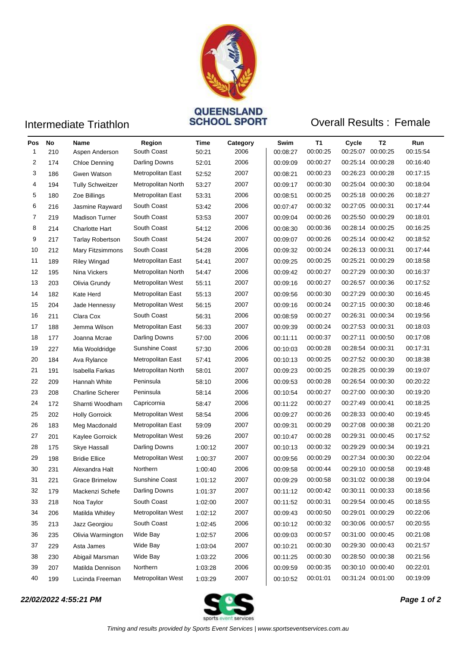

## **Intermediate Triathlon COVERSEAND**<br> **Intermediate Triathlon OVERSEANCE SPORT**

### **Overall Results: Female**

| Pos | No  | Name                    | Region             | Time    | Category | Swim     | T1       | Cycle    | T2                | Run      |
|-----|-----|-------------------------|--------------------|---------|----------|----------|----------|----------|-------------------|----------|
| 1   | 210 | Aspen Anderson          | South Coast        | 50:21   | 2006     | 00:08:27 | 00:00:25 | 00:25:07 | 00:00:25          | 00:15:54 |
| 2   | 174 | Chloe Denning           | Darling Downs      | 52:01   | 2006     | 00:09:09 | 00:00:27 |          | 00:25:14 00:00:28 | 00:16:40 |
| 3   | 186 | Gwen Watson             | Metropolitan East  | 52:52   | 2007     | 00:08:21 | 00:00:23 | 00:26:23 | 00:00:28          | 00:17:15 |
| 4   | 194 | <b>Tully Schweitzer</b> | Metropolitan North | 53:27   | 2007     | 00:09:17 | 00:00:30 |          | 00:25:04 00:00:30 | 00:18:04 |
| 5   | 180 | Zoe Billings            | Metropolitan East  | 53:31   | 2006     | 00:08:51 | 00:00:25 | 00:25:18 | 00:00:26          | 00:18:27 |
| 6   | 216 | Jasmine Rayward         | South Coast        | 53:42   | 2006     | 00:07:47 | 00:00:32 |          | 00:27:05 00:00:31 | 00:17:44 |
| 7   | 219 | <b>Madison Turner</b>   | South Coast        | 53:53   | 2007     | 00:09:04 | 00:00:26 |          | 00:25:50 00:00:29 | 00:18:01 |
| 8   | 214 | <b>Charlotte Hart</b>   | South Coast        | 54:12   | 2006     | 00:08:30 | 00:00:36 |          | 00:28:14 00:00:25 | 00:16:25 |
| 9   | 217 | <b>Tarlay Robertson</b> | South Coast        | 54:24   | 2007     | 00:09:07 | 00:00:26 |          | 00:25:14 00:00:42 | 00:18:52 |
| 10  | 212 | Mary Fitzsimmons        | South Coast        | 54:28   | 2006     | 00:09:32 | 00:00:24 |          | 00:26:13 00:00:31 | 00:17:44 |
| 11  | 189 | <b>Riley Wingad</b>     | Metropolitan East  | 54:41   | 2007     | 00:09:25 | 00:00:25 | 00:25:21 | 00:00:29          | 00:18:58 |
| 12  | 195 | Nina Vickers            | Metropolitan North | 54:47   | 2006     | 00:09:42 | 00:00:27 | 00:27:29 | 00:00:30          | 00:16:37 |
| 13  | 203 | Olivia Grundy           | Metropolitan West  | 55:11   | 2007     | 00:09:16 | 00:00:27 |          | 00:26:57 00:00:36 | 00:17:52 |
| 14  | 182 | Kate Herd               | Metropolitan East  | 55:13   | 2007     | 00:09:56 | 00:00:30 | 00:27:29 | 00:00:30          | 00:16:45 |
| 15  | 204 | Jade Hennessy           | Metropolitan West  | 56:15   | 2007     | 00:09:16 | 00:00:24 |          | 00:27:15 00:00:30 | 00:18:46 |
| 16  | 211 | Clara Cox               | South Coast        | 56:31   | 2006     | 00:08:59 | 00:00:27 | 00:26:31 | 00:00:34          | 00:19:56 |
| 17  | 188 | Jemma Wilson            | Metropolitan East  | 56:33   | 2007     | 00:09:39 | 00:00:24 | 00:27:53 | 00:00:31          | 00:18:03 |
| 18  | 177 | Joanna Mcrae            | Darling Downs      | 57:00   | 2006     | 00:11:11 | 00:00:37 | 00:27:11 | 00:00:50          | 00:17:08 |
| 19  | 227 | Mia Wooldridge          | Sunshine Coast     | 57:30   | 2006     | 00:10:03 | 00:00:28 | 00:28:54 | 00:00:31          | 00:17:31 |
| 20  | 184 | Ava Rylance             | Metropolitan East  | 57:41   | 2006     | 00:10:13 | 00:00:25 |          | 00:27:52 00:00:30 | 00:18:38 |
| 21  | 191 | Isabella Farkas         | Metropolitan North | 58:01   | 2007     | 00:09:23 | 00:00:25 | 00:28:25 | 00:00:39          | 00:19:07 |
| 22  | 209 | Hannah White            | Peninsula          | 58:10   | 2006     | 00:09:53 | 00:00:28 | 00:26:54 | 00:00:30          | 00:20:22 |
| 23  | 208 | <b>Charline Scherer</b> | Peninsula          | 58:14   | 2006     | 00:10:54 | 00:00:27 |          | 00:27:00 00:00:30 | 00:19:20 |
| 24  | 172 | Sharnti Woodham         | Capricornia        | 58:47   | 2006     | 00:11:22 | 00:00:27 | 00:27:49 | 00:00:41          | 00:18:25 |
| 25  | 202 | <b>Holly Gorroick</b>   | Metropolitan West  | 58:54   | 2006     | 00:09:27 | 00:00:26 | 00:28:33 | 00:00:40          | 00:19:45 |
| 26  | 183 | Meg Macdonald           | Metropolitan East  | 59:09   | 2007     | 00:09:31 | 00:00:29 | 00:27:08 | 00:00:38          | 00:21:20 |
| 27  | 201 | Kaylee Gorroick         | Metropolitan West  | 59:26   | 2007     | 00:10:47 | 00:00:28 | 00:29:31 | 00:00:45          | 00:17:52 |
| 28  | 175 | Skye Hassall            | Darling Downs      | 1:00:12 | 2007     | 00:10:13 | 00:00:32 | 00:29:29 | 00:00:34          | 00:19:21 |
| 29  | 198 | <b>Bridie Ellice</b>    | Metropolitan West  | 1:00:37 | 2007     | 00:09:56 | 00:00:29 |          | 00:27:34 00:00:30 | 00:22:04 |
| 30  | 231 | Alexandra Halt          | Northern           | 1:00:40 | 2006     | 00:09:58 | 00:00:44 |          | 00:29:10 00:00:58 | 00:19:48 |
| 31  | 221 | Grace Brimelow          | Sunshine Coast     | 1:01:12 | 2007     | 00:09:29 | 00:00:58 |          | 00:31:02 00:00:38 | 00:19:04 |
| 32  | 179 | Mackenzi Schefe         | Darling Downs      | 1:01:37 | 2007     | 00:11:12 | 00:00:42 |          | 00:30:11 00:00:33 | 00:18:56 |
| 33  | 218 | Noa Taylor              | South Coast        | 1:02:00 | 2007     | 00:11:52 | 00:00:31 |          | 00:29:54 00:00:45 | 00:18:55 |
| 34  | 206 | Matilda Whitley         | Metropolitan West  | 1:02:12 | 2007     | 00:09:43 | 00:00:50 |          | 00:29:01 00:00:29 | 00:22:06 |
| 35  | 213 | Jazz Georgiou           | South Coast        | 1:02:45 | 2006     | 00:10:12 | 00:00:32 |          | 00:30:06 00:00:57 | 00:20:55 |
| 36  | 235 | Olivia Warmington       | Wide Bay           | 1:02:57 | 2006     | 00:09:03 | 00:00:57 |          | 00:31:00 00:00:45 | 00:21:08 |
| 37  | 229 | Asta James              | Wide Bay           | 1.03.04 | 2007     | 00:10:21 | 00:00:30 |          | 00:29:30 00:00:43 | 00:21:57 |
| 38  | 230 | Abigail Marsman         | Wide Bay           | 1:03:22 | 2006     | 00:11:25 | 00:00:30 |          | 00:28:50 00:00:38 | 00:21:56 |
| 39  | 207 | Matilda Dennison        | Northern           | 1.03.28 | 2006     | 00:09:59 | 00:00:35 |          | 00:30:10 00:00:40 | 00:22:01 |
| 40  | 199 | Lucinda Freeman         | Metropolitan West  | 1:03:29 | 2007     | 00:10:52 | 00:01:01 |          | 00:31:24 00:01:00 | 00:19:09 |

*22/02/2022 4:55:21 PM Page 1 of 2*

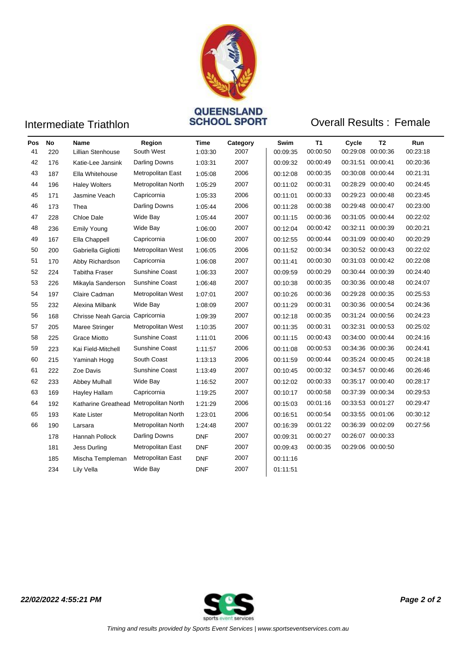

# **Intermediate Triathlon COVEENSLAND<br>SCHOOL SPORT**

### **Overall Results: Female**

| Pos | No  | <b>Name</b>                            | Region                | Time       | Category | Swim     | T1       | Cycle             | T <sub>2</sub>    | <b>Run</b> |
|-----|-----|----------------------------------------|-----------------------|------------|----------|----------|----------|-------------------|-------------------|------------|
| 41  | 220 | Lillian Stenhouse                      | South West            | 1:03:30    | 2007     | 00:09:35 | 00:00:50 |                   | 00:29:08 00:00:36 | 00:23:18   |
| 42  | 176 | Katie-Lee Jansink                      | Darling Downs         | 1:03:31    | 2007     | 00:09:32 | 00:00:49 | 00:31:51          | 00:00:41          | 00:20:36   |
| 43  | 187 | Ella Whitehouse                        | Metropolitan East     | 1:05:08    | 2006     | 00:12:08 | 00:00:35 | 00:30:08          | 00:00:44          | 00:21:31   |
| 44  | 196 | <b>Haley Wolters</b>                   | Metropolitan North    | 1:05:29    | 2007     | 00:11:02 | 00:00:31 | 00:28:29          | 00:00:40          | 00:24:45   |
| 45  | 171 | Jasmine Veach                          | Capricornia           | 1:05:33    | 2006     | 00:11:01 | 00:00:33 |                   | 00:29:23 00:00:48 | 00:23:45   |
| 46  | 173 | Thea                                   | Darling Downs         | 1:05:44    | 2006     | 00:11:28 | 00:00:38 |                   | 00:29:48 00:00:47 | 00:23:00   |
| 47  | 228 | Chloe Dale                             | Wide Bay              | 1:05:44    | 2007     | 00:11:15 | 00:00:36 |                   | 00:31:05 00:00:44 | 00:22:02   |
| 48  | 236 | <b>Emily Young</b>                     | Wide Bay              | 1:06:00    | 2007     | 00:12:04 | 00:00:42 | 00:32:11          | 00:00:39          | 00:20:21   |
| 49  | 167 | Ella Chappell                          | Capricornia           | 1:06:00    | 2007     | 00:12:55 | 00:00:44 | 00:31:09          | 00:00:40          | 00:20:29   |
| 50  | 200 | Gabriella Gigliotti                    | Metropolitan West     | 1:06:05    | 2006     | 00:11:52 | 00:00:34 |                   | 00:30:52 00:00:43 | 00:22:02   |
| 51  | 170 | Abby Richardson                        | Capricornia           | 1:06:08    | 2007     | 00:11:41 | 00:00:30 |                   | 00:31:03 00:00:42 | 00:22:08   |
| 52  | 224 | <b>Tabitha Fraser</b>                  | <b>Sunshine Coast</b> | 1:06:33    | 2007     | 00:09:59 | 00:00:29 |                   | 00:30:44 00:00:39 | 00:24:40   |
| 53  | 226 | Mikayla Sanderson                      | Sunshine Coast        | 1:06:48    | 2007     | 00:10:38 | 00:00:35 |                   | 00:30:36 00:00:48 | 00:24:07   |
| 54  | 197 | Claire Cadman                          | Metropolitan West     | 1:07:01    | 2007     | 00:10:26 | 00:00:36 |                   | 00:29:28 00:00:35 | 00:25:53   |
| 55  | 232 | Alexina Milbank                        | Wide Bay              | 1:08:09    | 2007     | 00:11:29 | 00:00:31 |                   | 00:30:36 00:00:54 | 00:24:36   |
| 56  | 168 | Chrisse Neah Garcia Capricornia        |                       | 1:09:39    | 2007     | 00:12:18 | 00:00:35 |                   | 00:31:24 00:00:56 | 00:24:23   |
| 57  | 205 | Maree Stringer                         | Metropolitan West     | 1:10:35    | 2007     | 00:11:35 | 00:00:31 |                   | 00:32:31 00:00:53 | 00:25:02   |
| 58  | 225 | <b>Grace Miotto</b>                    | Sunshine Coast        | 1:11:01    | 2006     | 00:11:15 | 00:00:43 | 00:34:00 00:00:44 |                   | 00:24:16   |
| 59  | 223 | Kai Field-Mitchell                     | Sunshine Coast        | 1:11:57    | 2006     | 00:11:08 | 00:00:53 |                   | 00:34:36 00:00:36 | 00:24:41   |
| 60  | 215 | Yaminah Hogg                           | South Coast           | 1:13:13    | 2006     | 00:11:59 | 00:00:44 |                   | 00:35:24 00:00:45 | 00:24:18   |
| 61  | 222 | Zoe Davis                              | <b>Sunshine Coast</b> | 1:13:49    | 2007     | 00:10:45 | 00:00:32 |                   | 00:34:57 00:00:46 | 00:26:46   |
| 62  | 233 | Abbey Mulhall                          | Wide Bay              | 1:16:52    | 2007     | 00:12:02 | 00:00:33 |                   | 00:35:17 00:00:40 | 00:28:17   |
| 63  | 169 | <b>Hayley Hallam</b>                   | Capricornia           | 1:19:25    | 2007     | 00:10:17 | 00:00:58 | 00:37:39          | 00:00:34          | 00:29:53   |
| 64  | 192 | Katharine Greathead Metropolitan North |                       | 1:21:29    | 2006     | 00:15:03 | 00:01:16 |                   | 00:33:53 00:01:27 | 00:29:47   |
| 65  | 193 | <b>Kate Lister</b>                     | Metropolitan North    | 1:23:01    | 2006     | 00:16:51 | 00:00:54 |                   | 00:33:55 00:01:06 | 00:30:12   |
| 66  | 190 | Larsara                                | Metropolitan North    | 1.24.48    | 2007     | 00:16:39 | 00:01:22 |                   | 00:36:39 00:02:09 | 00:27:56   |
|     | 178 | Hannah Pollock                         | Darling Downs         | <b>DNF</b> | 2007     | 00:09:31 | 00:00:27 |                   | 00:26:07 00:00:33 |            |
|     | 181 | Jess Durling                           | Metropolitan East     | <b>DNF</b> | 2007     | 00:09:43 | 00:00:35 |                   | 00:29:06 00:00:50 |            |
|     | 185 | Mischa Templeman                       | Metropolitan East     | <b>DNF</b> | 2007     | 00:11:16 |          |                   |                   |            |
|     | 234 | Lily Vella                             | Wide Bay              | <b>DNF</b> | 2007     | 01:11:51 |          |                   |                   |            |
|     |     |                                        |                       |            |          |          |          |                   |                   |            |



*22/02/2022 4:55:21 PM Page 2 of 2*

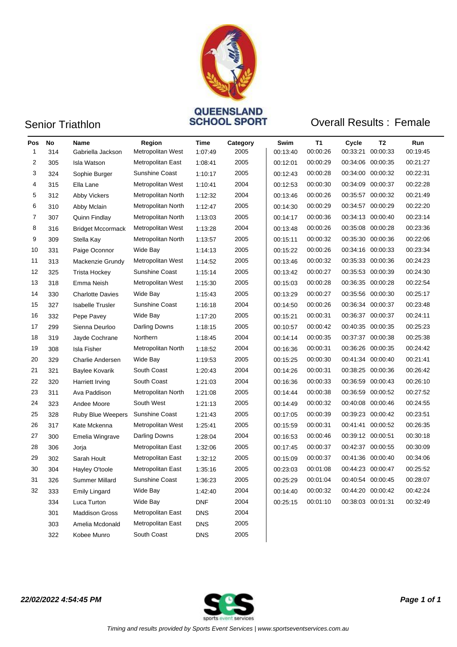

## Senior Triathlon **CONSTRAINS**<br>
SCHOOL SPORT

### **Overall Results: Female**

| Pos<br>1 | No<br>314 | Name<br>Gabriella Jackson | Region<br>Metropolitan West | Time<br>1:07:49 | Category<br>2005 | Swim<br>00:13:40 | T1<br>00:00:26 | Cycle<br>00:33:21 | T2<br>00:00:33    | Run<br>00:19:45 |
|----------|-----------|---------------------------|-----------------------------|-----------------|------------------|------------------|----------------|-------------------|-------------------|-----------------|
| 2        | 305       | <b>Isla Watson</b>        | Metropolitan East           | 1:08:41         | 2005             | 00:12:01         | 00:00:29       |                   | 00:34:06 00:00:35 | 00:21:27        |
| 3        | 324       | Sophie Burger             | Sunshine Coast              | 1:10:17         | 2005             | 00:12:43         | 00:00:28       |                   | 00:34:00 00:00:32 | 00:22:31        |
| 4        | 315       | Ella Lane                 | Metropolitan West           | 1:10:41         | 2004             | 00:12:53         | 00:00:30       |                   | 00:34:09 00:00:37 | 00:22:28        |
| 5        | 312       | <b>Abby Vickers</b>       | Metropolitan North          | 1:12:32         | 2004             | 00:13:46         | 00:00:26       |                   | 00:35:57 00:00:32 | 00:21:49        |
| 6        | 310       | Abby Mclain               | Metropolitan North          | 1:12:47         | 2005             | 00:14:30         | 00:00:29       |                   | 00:34:57 00:00:29 | 00:22:20        |
| 7        | 307       | Quinn Findlay             | Metropolitan North          | 1:13:03         | 2005             | 00:14:17         | 00:00:36       |                   | 00:34:13 00:00:40 | 00:23:14        |
| 8        | 316       | <b>Bridget Mccormack</b>  | Metropolitan West           | 1:13:28         | 2004             | 00:13:48         | 00:00:26       |                   | 00:35:08 00:00:28 | 00:23:36        |
| 9        | 309       | Stella Kay                | Metropolitan North          | 1:13:57         | 2005             | 00:15:11         | 00:00:32       |                   | 00:35:30 00:00:36 | 00:22:06        |
| 10       | 331       | Paige Oconnor             | Wide Bay                    | 1:14:13         | 2005             | 00:15:22         | 00:00:26       |                   | 00:34:16 00:00:33 | 00:23:34        |
| 11       | 313       | Mackenzie Grundy          | Metropolitan West           | 1:14:52         | 2005             | 00:13:46         | 00:00:32       |                   | 00:35:33 00:00:36 | 00:24:23        |
| 12       | 325       | <b>Trista Hockey</b>      | Sunshine Coast              | 1:15:14         | 2005             | 00:13:42         | 00:00:27       |                   | 00:35:53 00:00:39 | 00:24:30        |
| 13       | 318       | Emma Neish                | Metropolitan West           | 1:15:30         | 2005             | 00:15:03         | 00:00:28       |                   | 00:36:35 00:00:28 | 00:22:54        |
| 14       | 330       | <b>Charlotte Davies</b>   | Wide Bay                    | 1:15:43         | 2005             | 00:13:29         | 00:00:27       |                   | 00:35:56 00:00:30 | 00:25:17        |
| 15       | 327       | <b>Isabelle Trusler</b>   | Sunshine Coast              | 1:16:18         | 2004             | 00:14:50         | 00:00:26       |                   | 00:36:34 00:00:37 | 00:23:48        |
| 16       | 332       | Pepe Pavey                | Wide Bay                    | 1:17:20         | 2005             | 00:15:21         | 00:00:31       |                   | 00:36:37 00:00:37 | 00:24:11        |
| 17       | 299       | Sienna Deurloo            | Darling Downs               | 1:18:15         | 2005             | 00:10:57         | 00:00:42       |                   | 00:40:35 00:00:35 | 00:25:23        |
| 18       | 319       | Jayde Cochrane            | Northern                    | 1:18:45         | 2004             | 00:14:14         | 00:00:35       |                   | 00:37:37 00:00:38 | 00:25:38        |
| 19       | 308       | Isla Fisher               | Metropolitan North          | 1:18:52         | 2004             | 00:16:36         | 00:00:31       |                   | 00:36:26 00:00:35 | 00:24:42        |
| 20       | 329       | Charlie Andersen          | Wide Bay                    | 1:19:53         | 2005             | 00:15:25         | 00:00:30       |                   | 00:41:34 00:00:40 | 00:21:41        |
| 21       | 321       | Baylee Kovarik            | South Coast                 | 1:20:43         | 2004             | 00:14:26         | 00:00:31       |                   | 00:38:25 00:00:36 | 00:26:42        |
| 22       | 320       | Harriett Irving           | South Coast                 | 1:21:03         | 2004             | 00:16:36         | 00:00:33       |                   | 00:36:59 00:00:43 | 00:26:10        |
| 23       | 311       | Ava Paddison              | Metropolitan North          | 1:21:08         | 2005             | 00:14:44         | 00:00:38       |                   | 00:36:59 00:00:52 | 00:27:52        |
| 24       | 323       | Andee Moore               | South West                  | 1:21:13         | 2005             | 00:14:49         | 00:00:32       |                   | 00:40:08 00:00:46 | 00:24:55        |
| 25       | 328       | Ruby Blue Weepers         | Sunshine Coast              | 1:21:43         | 2005             | 00:17:05         | 00:00:39       |                   | 00:39:23 00:00:42 | 00:23:51        |
| 26       | 317       | Kate Mckenna              | Metropolitan West           | 1:25:41         | 2005             | 00:15:59         | 00:00:31       |                   | 00:41:41 00:00:52 | 00:26:35        |
| 27       | 300       | Emelia Wingrave           | Darling Downs               | 1:28:04         | 2004             | 00:16:53         | 00:00:46       |                   | 00:39:12 00:00:51 | 00:30:18        |
| 28       | 306       | Jorja                     | Metropolitan East           | 1:32:06         | 2005             | 00:17:45         | 00:00:37       |                   | 00:42:37 00:00:55 | 00:30:09        |
| 29       | 302       | Sarah Hoult               | Metropolitan East           | 1:32:12         | 2005             | 00:15:09         | 00:00:37       |                   | 00:41:36 00:00:40 | 00:34:06        |
| 30       | 304       | Hayley O'toole            | Metropolitan East           | 1:35:16         | 2005             | 00:23:03         | 00:01:08       |                   | 00:44:23 00:00:47 | 00:25:52        |
| 31       | 326       | Summer Millard            | Sunshine Coast              | 1:36:23         | 2005             | 00:25:29         | 00:01:04       |                   | 00:40:54 00:00:45 | 00:28:07        |
| 32       | 333       | <b>Emily Lingard</b>      | Wide Bay                    | 1:42:40         | 2004             | 00:14:40         | 00:00:32       |                   | 00:44:20 00:00:42 | 00:42:24        |
|          | 334       | Luca Turton               | Wide Bay                    | <b>DNF</b>      | 2004             | 00:25:15         | 00:01:10       |                   | 00:38:03 00:01:31 | 00:32:49        |
|          | 301       | <b>Maddison Gross</b>     | Metropolitan East           | <b>DNS</b>      | 2004             |                  |                |                   |                   |                 |
|          | 303       | Amelia Mcdonald           | Metropolitan East           | <b>DNS</b>      | 2005             |                  |                |                   |                   |                 |
|          | 322       | Kobee Munro               | South Coast                 | DNS             | 2005             |                  |                |                   |                   |                 |

*22/02/2022 4:54:45 PM Page 1 of 1*

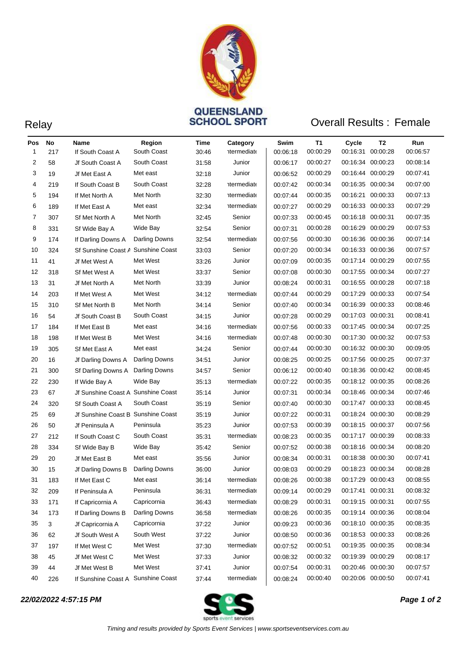

## Relay **SCHOOL SPORT** Overall Results : Female

| Pos<br>1 | No<br>217 | Name<br>If South Coast A           | Region<br>South Coast | Time<br>30:46 | Category<br><b>htermediate</b> | Swim<br>00:06:18 | T1<br>00:00:29 | Cycle<br>00:16:31 | T2<br>00:00:28 | Run<br>00:06:57 |
|----------|-----------|------------------------------------|-----------------------|---------------|--------------------------------|------------------|----------------|-------------------|----------------|-----------------|
| 2        | 58        | Jf South Coast A                   | South Coast           | 31:58         | Junior                         | 00:06:17         | 00:00:27       | 00:16:34 00:00:23 |                | 00:08:14        |
| 3        | 19        | Jf Met East A                      | Met east              | 32:18         | Junior                         | 00:06:52         | 00:00:29       | 00:16:44 00:00:29 |                | 00:07:41        |
| 4        | 219       | If South Coast B                   | South Coast           | 32:28         | <b>htermediate</b>             | 00:07:42         | 00:00:34       | 00:16:35 00:00:34 |                | 00:07:00        |
| 5        | 194       | If Met North A                     | Met North             | 32:30         | <b>htermediate</b>             | 00:07:44         | 00:00:35       | 00:16:21 00:00:33 |                | 00:07:13        |
| 6        | 189       | If Met East A                      | Met east              | 32:34         | <b>htermediate</b>             | 00:07:27         | 00:00:29       | 00:16:33 00:00:33 |                | 00:07:29        |
| 7        | 307       | Sf Met North A                     | Met North             | 32:45         | Senior                         | 00:07:33         | 00:00:45       | 00:16:18 00:00:31 |                | 00:07:35        |
| 8        | 331       | Sf Wide Bay A                      | Wide Bay              | 32:54         | Senior                         | 00:07:31         | 00:00:28       | 00:16:29 00:00:29 |                | 00:07:53        |
| 9        | 174       | If Darling Downs A                 | Darling Downs         | 32:54         | <b>htermediate</b>             | 00:07:56         | 00:00:30       | 00:16:36 00:00:36 |                | 00:07:14        |
| 10       | 324       | Sf Sunshine Coast A                | Sunshine Coast        | 33:03         | Senior                         | 00:07:20         | 00:00:34       | 00:16:33 00:00:36 |                | 00:07:57        |
| 11       | 41        | Jf Met West A                      | Met West              | 33:26         | Junior                         | 00:07:09         | 00:00:35       | 00:17:14 00:00:29 |                | 00:07:55        |
| 12       | 318       | Sf Met West A                      | Met West              | 33:37         | Senior                         | 00:07:08         | 00:00:30       | 00:17:55 00:00:34 |                | 00:07:27        |
| 13       | 31        | Jf Met North A                     | Met North             | 33:39         | Junior                         | 00:08:24         | 00:00:31       | 00:16:55 00:00:28 |                | 00:07:18        |
| 14       | 203       | If Met West A                      | Met West              | 34:12         | <b>htermediate</b>             | 00:07:44         | 00:00:29       | 00:17:29 00:00:33 |                | 00:07:54        |
| 15       | 310       | Sf Met North B                     | Met North             | 34:14         | Senior                         | 00:07:40         | 00:00:34       | 00:16:39 00:00:33 |                | 00:08:46        |
| 16       | 54        | Jf South Coast B                   | South Coast           | 34:15         | Junior                         | 00:07:28         | 00:00:29       | 00:17:03 00:00:31 |                | 00:08:41        |
| 17       | 184       | If Met East B                      | Met east              | 34:16         | <b>htermediate</b>             | 00:07:56         | 00:00:33       | 00:17:45 00:00:34 |                | 00:07:25        |
| 18       | 198       | If Met West B                      | Met West              | 34:16         | <b>htermediate</b>             | 00:07:48         | 00:00:30       | 00:17:30 00:00:32 |                | 00:07:53        |
| 19       | 305       | Sf Met East A                      | Met east              | 34:24         | Senior                         | 00:07:44         | 00:00:30       | 00:16:32 00:00:30 |                | 00:09:05        |
| 20       | 16        | Jf Darling Downs A                 | Darling Downs         | 34:51         | Junior                         | 00:08:25         | 00:00:25       | 00:17:56 00:00:25 |                | 00:07:37        |
| 21       | 300       | Sf Darling Downs A                 | Darling Downs         | 34:57         | Senior                         | 00:06:12         | 00:00:40       | 00:18:36 00:00:42 |                | 00:08:45        |
| 22       | 230       | If Wide Bay A                      | Wide Bay              | 35:13         | <b>htermediate</b>             | 00:07:22         | 00:00:35       | 00:18:12 00:00:35 |                | 00:08:26        |
| 23       | 67        | Jf Sunshine Coast A Sunshine Coast |                       | 35:14         | Junior                         | 00:07:31         | 00:00:34       | 00:18:46 00:00:34 |                | 00:07:46        |
| 24       | 320       | Sf South Coast A                   | South Coast           | 35:19         | Senior                         | 00:07:40         | 00:00:30       | 00:17:47 00:00:33 |                | 00:08:45        |
| 25       | 69        | Jf Sunshine Coast B Sunshine Coast |                       | 35:19         | Junior                         | 00:07:22         | 00:00:31       | 00:18:24 00:00:30 |                | 00:08:29        |
| 26       | 50        | Jf Peninsula A                     | Peninsula             | 35:23         | Junior                         | 00:07:53         | 00:00:39       | 00:18:15 00:00:37 |                | 00:07:56        |
| 27       | 212       | If South Coast C                   | South Coast           | 35:31         | <b>htermediate</b>             | 00:08:23         | 00:00:35       | 00:17:17 00:00:39 |                | 00:08:33        |
| 28       | 334       | Sf Wide Bay B                      | Wide Bay              | 35:42         | Senior                         | 00:07:52         | 00:00:38       | 00:18:16 00:00:34 |                | 00:08:20        |
| 29       | 20        | Jf Met East B                      | Met east              | 35:56         | Junior                         | 00:08:34         | 00:00:31       | 00:18:38 00:00:30 |                | 00:07:41        |
| 30       | 15        | Jf Darling Downs B                 | Darling Downs         | 36:00         | Junior                         | 00:08:03         | 00:00:29       | 00:18:23 00:00:34 |                | 00:08:28        |
| 31       | 183       | If Met East C                      | Met east              | 36:14         | <b>htermediate</b>             | 00:08:26         | 00:00:38       | 00:17:29 00:00:43 |                | 00:08:55        |
| 32       | 209       | If Peninsula A                     | Peninsula             | 36:31         | <b>htermediate</b>             | 00:09:14         | 00:00:29       | 00:17:41 00:00:31 |                | 00:08:32        |
| 33       | 171       | If Capricornia A                   | Capricornia           | 36:43         | <b>htermediate</b>             | 00:08:29         | 00:00:31       | 00:19:15 00:00:31 |                | 00:07:55        |
| 34       | 173       | If Darling Downs B                 | Darling Downs         | 36:58         | <b>htermediate</b>             | 00:08:26         | 00:00:35       | 00:19:14 00:00:36 |                | 00:08:04        |
| 35       | 3         | Jf Capricornia A                   | Capricornia           | 37:22         | Junior                         | 00:09:23         | 00:00:36       | 00:18:10 00:00:35 |                | 00:08:35        |
| 36       | 62        | Jf South West A                    | South West            | 37:22         | Junior                         | 00:08:50         | 00:00:36       | 00:18:53 00:00:33 |                | 00:08:26        |
| 37       | 197       | If Met West C                      | Met West              | 37:30         | <b>htermediate</b>             | 00:07:52         | 00:00:51       | 00:19:35 00:00:35 |                | 00:08:34        |
| 38       | 45        | Jf Met West C                      | Met West              | 37:33         | Junior                         | 00:08:32         | 00:00:32       | 00:19:39 00:00:29 |                | 00:08:17        |
| 39       | 44        | Jf Met West B                      | Met West              | 37:41         | Junior                         | 00:07:54         | 00:00:31       | 00:20:46 00:00:30 |                | 00:07:57        |
| 40       | 226       | If Sunshine Coast A Sunshine Coast |                       | 37:44         | <b>htermediate</b>             | 00:08:24         | 00:00:40       | 00:20:06 00:00:50 |                | 00:07:41        |

### *22/02/2022 4:57:15 PM Page 1 of 2*